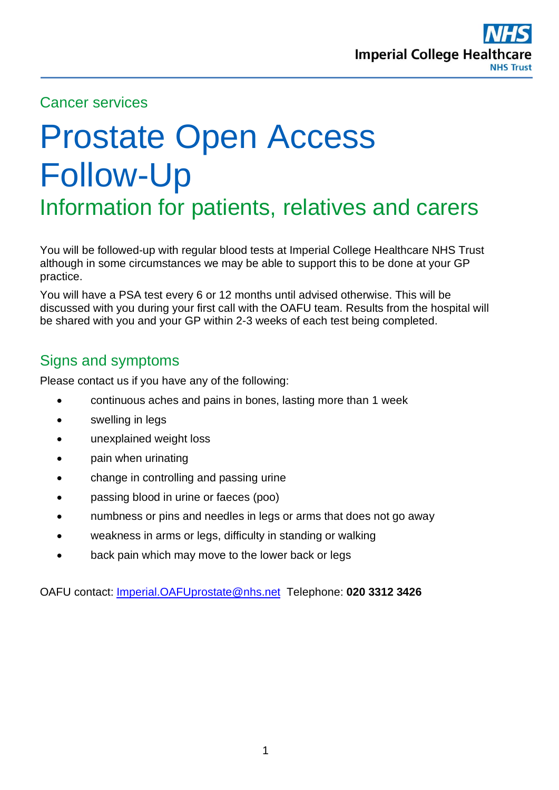

#### Cancer services

# Prostate Open Access Follow-Up Information for patients, relatives and carers

You will be followed-up with regular blood tests at Imperial College Healthcare NHS Trust although in some circumstances we may be able to support this to be done at your GP practice.

You will have a PSA test every 6 or 12 months until advised otherwise. This will be discussed with you during your first call with the OAFU team. Results from the hospital will be shared with you and your GP within 2-3 weeks of each test being completed.

## Signs and symptoms

Please contact us if you have any of the following:

- continuous aches and pains in bones, lasting more than 1 week
- swelling in legs
- unexplained weight loss
- pain when urinating
- change in controlling and passing urine
- passing blood in urine or faeces (poo)
- numbness or pins and needles in legs or arms that does not go away
- weakness in arms or legs, difficulty in standing or walking
- back pain which may move to the lower back or legs

OAFU contact: [Imperial.OAFUprostate@nhs.net](mailto:Imperial.OAFUprostate@nhs.net) Telephone: **020 3312 3426**